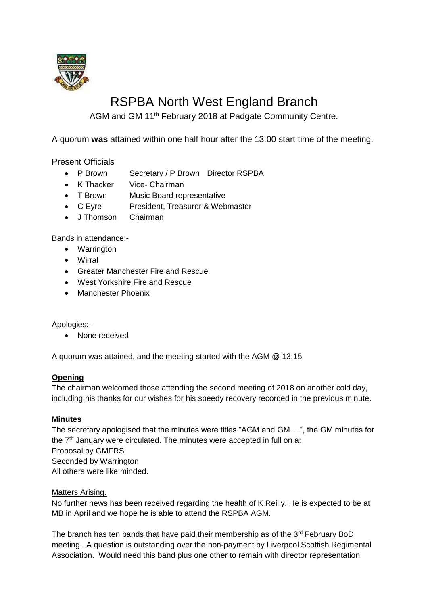

# RSPBA North West England Branch

AGM and GM 11th February 2018 at Padgate Community Centre.

A quorum **was** attained within one half hour after the 13:00 start time of the meeting.

Present Officials

- P Brown Secretary / P Brown Director RSPBA
- K Thacker Vice- Chairman
- T Brown Music Board representative
- C Eyre President, Treasurer & Webmaster
- J Thomson Chairman

Bands in attendance:-

- Warrington
- Wirral
- Greater Manchester Fire and Rescue
- West Yorkshire Fire and Rescue
- Manchester Phoenix

Apologies:-

• None received

A quorum was attained, and the meeting started with the AGM @ 13:15

## **Opening**

The chairman welcomed those attending the second meeting of 2018 on another cold day, including his thanks for our wishes for his speedy recovery recorded in the previous minute.

## **Minutes**

The secretary apologised that the minutes were titles "AGM and GM …", the GM minutes for the  $7<sup>th</sup>$  January were circulated. The minutes were accepted in full on a: Proposal by GMFRS Seconded by Warrington All others were like minded.

## Matters Arising.

No further news has been received regarding the health of K Reilly. He is expected to be at MB in April and we hope he is able to attend the RSPBA AGM.

The branch has ten bands that have paid their membership as of the 3<sup>rd</sup> February BoD meeting. A question is outstanding over the non-payment by Liverpool Scottish Regimental Association. Would need this band plus one other to remain with director representation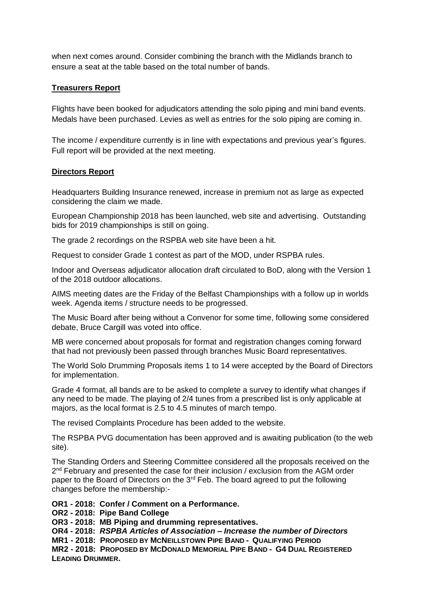when next comes around. Consider combining the branch with the Midlands branch to ensure a seat at the table based on the total number of bands.

## **Treasurers Report**

Flights have been booked for adjudicators attending the solo piping and mini band events. Medals have been purchased. Levies as well as entries for the solo piping are coming in.

The income / expenditure currently is in line with expectations and previous year's figures. Full report will be provided at the next meeting.

## **Directors Report**

Headquarters Building Insurance renewed, increase in premium not as large as expected considering the claim we made.

European Championship 2018 has been launched, web site and advertising. Outstanding bids for 2019 championships is still on going.

The grade 2 recordings on the RSPBA web site have been a hit.

Request to consider Grade 1 contest as part of the MOD, under RSPBA rules.

Indoor and Overseas adjudicator allocation draft circulated to BoD, along with the Version 1 of the 2018 outdoor allocations.

AIMS meeting dates are the Friday of the Belfast Championships with a follow up in worlds week. Agenda items / structure needs to be progressed.

The Music Board after being without a Convenor for some time, following some considered debate, Bruce Cargill was voted into office.

MB were concerned about proposals for format and registration changes coming forward that had not previously been passed through branches Music Board representatives.

The World Solo Drumming Proposals items 1 to 14 were accepted by the Board of Directors for implementation.

Grade 4 format, all bands are to be asked to complete a survey to identify what changes if any need to be made. The playing of 2/4 tunes from a prescribed list is only applicable at majors, as the local format is 2.5 to 4.5 minutes of march tempo.

The revised Complaints Procedure has been added to the website.

The RSPBA PVG documentation has been approved and is awaiting publication (to the web site).

The Standing Orders and Steering Committee considered all the proposals received on the 2<sup>nd</sup> February and presented the case for their inclusion / exclusion from the AGM order paper to the Board of Directors on the 3<sup>rd</sup> Feb. The board agreed to put the following changes before the membership:-

**OR1 - 2018: Confer / Comment on a Performance.**

**OR2 - 2018: Pipe Band College**

**OR3 - 2018: MB Piping and drumming representatives.**

**OR4 - 2018:** *RSPBA Articles of Association – Increase the number of Directors* 

**MR1 - 2018: PROPOSED BY MCNEILLSTOWN PIPE BAND - QUALIFYING PERIOD**

**MR2 - 2018: PROPOSED BY MCDONALD MEMORIAL PIPE BAND - G4 DUAL REGISTERED LEADING DRUMMER.**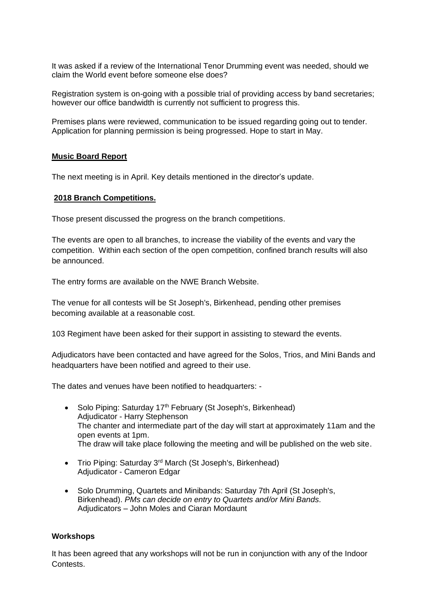It was asked if a review of the International Tenor Drumming event was needed, should we claim the World event before someone else does?

Registration system is on-going with a possible trial of providing access by band secretaries; however our office bandwidth is currently not sufficient to progress this.

Premises plans were reviewed, communication to be issued regarding going out to tender. Application for planning permission is being progressed. Hope to start in May.

#### **Music Board Report**

The next meeting is in April. Key details mentioned in the director's update.

#### **2018 Branch Competitions.**

Those present discussed the progress on the branch competitions.

The events are open to all branches, to increase the viability of the events and vary the competition. Within each section of the open competition, confined branch results will also be announced.

The entry forms are available on the NWE Branch Website.

The venue for all contests will be St Joseph's, Birkenhead, pending other premises becoming available at a reasonable cost.

103 Regiment have been asked for their support in assisting to steward the events.

Adjudicators have been contacted and have agreed for the Solos, Trios, and Mini Bands and headquarters have been notified and agreed to their use.

The dates and venues have been notified to headquarters: -

- Solo Piping: Saturday  $17<sup>th</sup>$  February (St Joseph's, Birkenhead) Adjudicator - Harry Stephenson The chanter and intermediate part of the day will start at approximately 11am and the open events at 1pm. The draw will take place following the meeting and will be published on the web site.
- Trio Piping: Saturday 3<sup>rd</sup> March (St Joseph's, Birkenhead) Adjudicator - Cameron Edgar
- Solo Drumming, Quartets and Minibands: Saturday 7th April (St Joseph's, Birkenhead). *PMs can decide on entry to Quartets and/or Mini Bands.* Adjudicators – John Moles and Ciaran Mordaunt

#### **Workshops**

It has been agreed that any workshops will not be run in conjunction with any of the Indoor Contests.